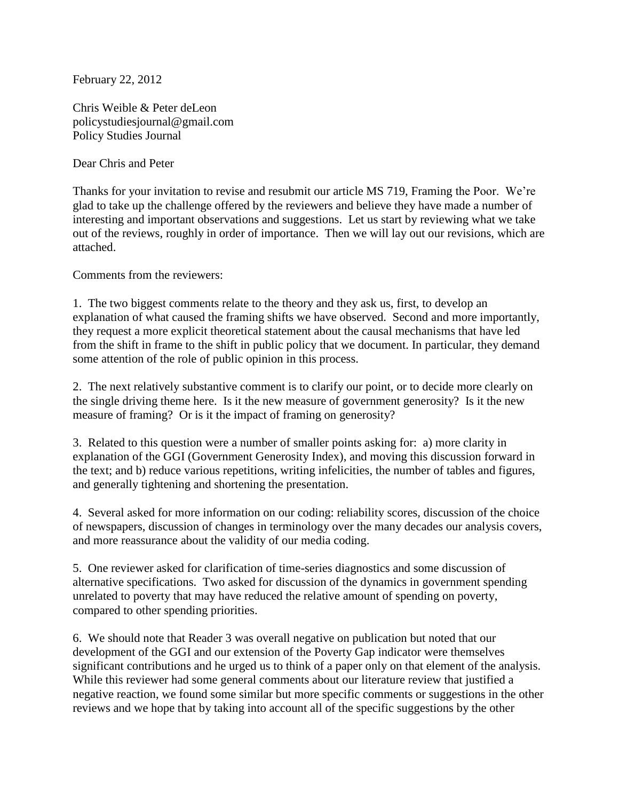February 22, 2012

Chris Weible & Peter deLeon policystudiesjournal@gmail.com Policy Studies Journal

Dear Chris and Peter

Thanks for your invitation to revise and resubmit our article MS 719, Framing the Poor. We're glad to take up the challenge offered by the reviewers and believe they have made a number of interesting and important observations and suggestions. Let us start by reviewing what we take out of the reviews, roughly in order of importance. Then we will lay out our revisions, which are attached.

Comments from the reviewers:

1. The two biggest comments relate to the theory and they ask us, first, to develop an explanation of what caused the framing shifts we have observed. Second and more importantly, they request a more explicit theoretical statement about the causal mechanisms that have led from the shift in frame to the shift in public policy that we document. In particular, they demand some attention of the role of public opinion in this process.

2. The next relatively substantive comment is to clarify our point, or to decide more clearly on the single driving theme here. Is it the new measure of government generosity? Is it the new measure of framing? Or is it the impact of framing on generosity?

3. Related to this question were a number of smaller points asking for: a) more clarity in explanation of the GGI (Government Generosity Index), and moving this discussion forward in the text; and b) reduce various repetitions, writing infelicities, the number of tables and figures, and generally tightening and shortening the presentation.

4. Several asked for more information on our coding: reliability scores, discussion of the choice of newspapers, discussion of changes in terminology over the many decades our analysis covers, and more reassurance about the validity of our media coding.

5. One reviewer asked for clarification of time-series diagnostics and some discussion of alternative specifications. Two asked for discussion of the dynamics in government spending unrelated to poverty that may have reduced the relative amount of spending on poverty, compared to other spending priorities.

6. We should note that Reader 3 was overall negative on publication but noted that our development of the GGI and our extension of the Poverty Gap indicator were themselves significant contributions and he urged us to think of a paper only on that element of the analysis. While this reviewer had some general comments about our literature review that justified a negative reaction, we found some similar but more specific comments or suggestions in the other reviews and we hope that by taking into account all of the specific suggestions by the other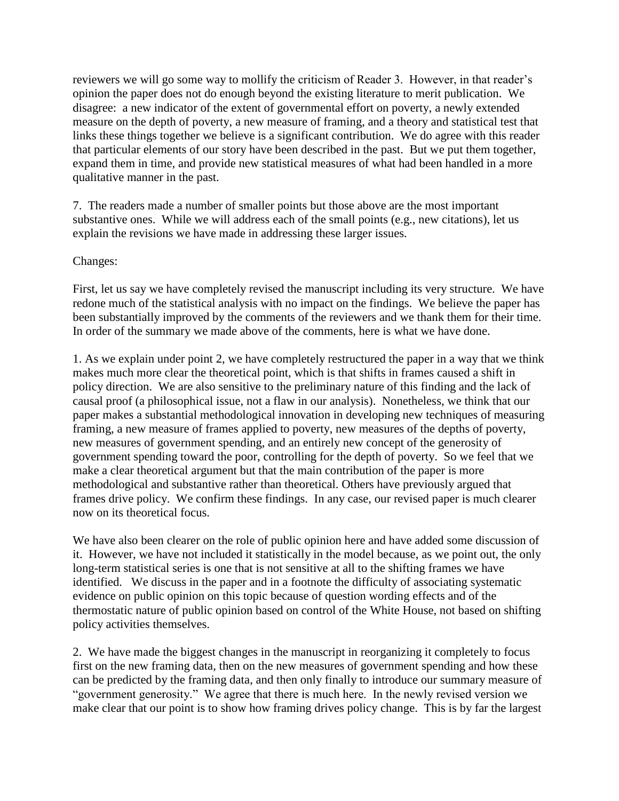reviewers we will go some way to mollify the criticism of Reader 3. However, in that reader's opinion the paper does not do enough beyond the existing literature to merit publication. We disagree: a new indicator of the extent of governmental effort on poverty, a newly extended measure on the depth of poverty, a new measure of framing, and a theory and statistical test that links these things together we believe is a significant contribution. We do agree with this reader that particular elements of our story have been described in the past. But we put them together, expand them in time, and provide new statistical measures of what had been handled in a more qualitative manner in the past.

7. The readers made a number of smaller points but those above are the most important substantive ones. While we will address each of the small points (e.g., new citations), let us explain the revisions we have made in addressing these larger issues.

## Changes:

First, let us say we have completely revised the manuscript including its very structure. We have redone much of the statistical analysis with no impact on the findings. We believe the paper has been substantially improved by the comments of the reviewers and we thank them for their time. In order of the summary we made above of the comments, here is what we have done.

1. As we explain under point 2, we have completely restructured the paper in a way that we think makes much more clear the theoretical point, which is that shifts in frames caused a shift in policy direction. We are also sensitive to the preliminary nature of this finding and the lack of causal proof (a philosophical issue, not a flaw in our analysis). Nonetheless, we think that our paper makes a substantial methodological innovation in developing new techniques of measuring framing, a new measure of frames applied to poverty, new measures of the depths of poverty, new measures of government spending, and an entirely new concept of the generosity of government spending toward the poor, controlling for the depth of poverty. So we feel that we make a clear theoretical argument but that the main contribution of the paper is more methodological and substantive rather than theoretical. Others have previously argued that frames drive policy. We confirm these findings. In any case, our revised paper is much clearer now on its theoretical focus.

We have also been clearer on the role of public opinion here and have added some discussion of it. However, we have not included it statistically in the model because, as we point out, the only long-term statistical series is one that is not sensitive at all to the shifting frames we have identified. We discuss in the paper and in a footnote the difficulty of associating systematic evidence on public opinion on this topic because of question wording effects and of the thermostatic nature of public opinion based on control of the White House, not based on shifting policy activities themselves.

2. We have made the biggest changes in the manuscript in reorganizing it completely to focus first on the new framing data, then on the new measures of government spending and how these can be predicted by the framing data, and then only finally to introduce our summary measure of "government generosity." We agree that there is much here. In the newly revised version we make clear that our point is to show how framing drives policy change. This is by far the largest